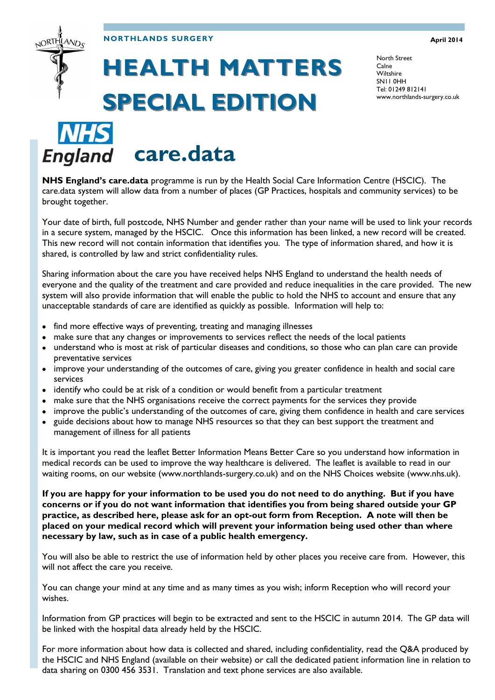### **NORTHLANDS SURGERY**

#### **April 2014**

# **HEALTH MATTERS SPECIAL EDITION**

North Street Calne **Wiltshire** SN11 0HH Tel: 01249 812141 www.northlands-surgery.co.uk

**NHS care.data**

ORTHLAND<sub>C</sub>

**NHS England's care.data** programme is run by the Health Social Care Information Centre (HSCIC). The care.data system will allow data from a number of places (GP Practices, hospitals and community services) to be brought together.

Your date of birth, full postcode, NHS Number and gender rather than your name will be used to link your records in a secure system, managed by the HSCIC. Once this information has been linked, a new record will be created. This new record will not contain information that identifies you. The type of information shared, and how it is shared, is controlled by law and strict confidentiality rules.

Sharing information about the care you have received helps NHS England to understand the health needs of everyone and the quality of the treatment and care provided and reduce inequalities in the care provided. The new system will also provide information that will enable the public to hold the NHS to account and ensure that any unacceptable standards of care are identified as quickly as possible. Information will help to:

- find more effective ways of preventing, treating and managing illnesses
- make sure that any changes or improvements to services reflect the needs of the local patients  $\bullet$
- understand who is most at risk of particular diseases and conditions, so those who can plan care can provide preventative services
- improve your understanding of the outcomes of care, giving you greater confidence in health and social care  $\bullet$ services
- identify who could be at risk of a condition or would benefit from a particular treatment  $\bullet$
- make sure that the NHS organisations receive the correct payments for the services they provide
- improve the public's understanding of the outcomes of care, giving them confidence in health and care services  $\bullet$
- guide decisions about how to manage NHS resources so that they can best support the treatment and  $\bullet$ management of illness for all patients

It is important you read the leaflet Better Information Means Better Care so you understand how information in medical records can be used to improve the way healthcare is delivered. The leaflet is available to read in our waiting rooms, on our website (www.northlands-surgery.co.uk) and on the NHS Choices website (www.nhs.uk).

**If you are happy for your information to be used you do not need to do anything. But if you have concerns or if you do not want information that identifies you from being shared outside your GP practice, as described here, please ask for an opt-out form from Reception. A note will then be placed on your medical record which will prevent your information being used other than where necessary by law, such as in case of a public health emergency.**

You will also be able to restrict the use of information held by other places you receive care from. However, this will not affect the care you receive.

You can change your mind at any time and as many times as you wish; inform Reception who will record your wishes.

Information from GP practices will begin to be extracted and sent to the HSCIC in autumn 2014. The GP data will be linked with the hospital data already held by the HSCIC.

For more information about how data is collected and shared, including confidentiality, read the Q&A produced by the HSCIC and NHS England (available on their website) or call the dedicated patient information line in relation to data sharing on 0300 456 3531. Translation and text phone services are also available.